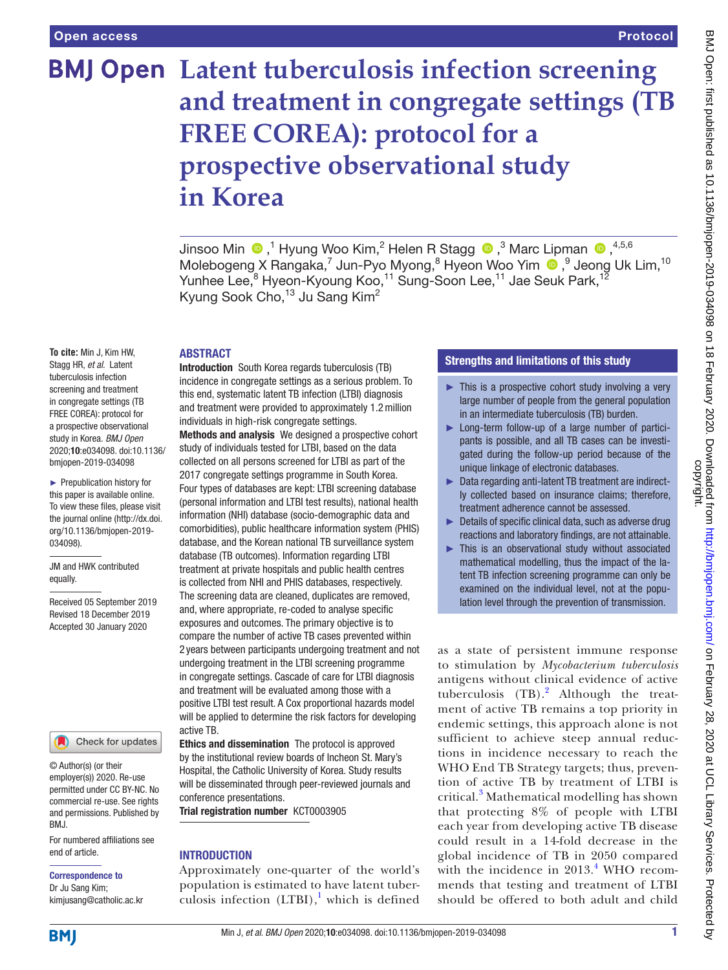# **BMJ Open Latent tuberculosis infection screening and treatment in congregate settings (TB FREE COREA): protocol for a prospective observational study in Korea**

JinsooMin  $\bigcirc$ ,<sup>1</sup> Hyung Woo Kim,<sup>2</sup> Helen R Stagg  $\bigcirc$ ,<sup>3</sup> Marc Lipman  $\bigcirc$ ,<sup>4,5,6</sup> Molebogeng X Rangaka,<sup>7</sup> Jun-Pyo Myong,<sup>8</sup> Hyeon Woo Yim <sup>no</sup>,9 Jeong Uk Lim,<sup>10</sup> Yunhee Lee,<sup>8</sup> Hyeon-Kyoung Koo,<sup>11</sup> Sung-Soon Lee,<sup>11</sup> Jae Seuk Park,<sup>12</sup> Kyung Sook Cho,<sup>13</sup> Ju Sang Kim<sup>2</sup>

#### **ABSTRACT**

**To cite:** Min J, Kim HW, Stagg HR, *et al*. Latent tuberculosis infection screening and treatment in congregate settings (TB FREE COREA): protocol for a prospective observational study in Korea. *BMJ Open* 2020;10:e034098. doi:10.1136/ bmjopen-2019-034098

► Prepublication history for this paper is available online. To view these files, please visit the journal online (http://dx.doi. org/10.1136/bmjopen-2019- 034098).

JM and HWK contributed equally.

Received 05 September 2019 Revised 18 December 2019 Accepted 30 January 2020



© Author(s) (or their employer(s)) 2020. Re-use permitted under CC BY-NC. No commercial re-use. See rights and permissions. Published by BMJ.

For numbered affiliations see end of article.

# Correspondence to Dr Ju Sang Kim;

kimjusang@catholic.ac.kr

Introduction South Korea regards tuberculosis (TB) incidence in congregate settings as a serious problem. To this end, systematic latent TB infection (LTBI) diagnosis and treatment were provided to approximately 1.2million individuals in high-risk congregate settings.

Methods and analysis We designed a prospective cohort study of individuals tested for LTBI, based on the data collected on all persons screened for LTBI as part of the 2017 congregate settings programme in South Korea. Four types of databases are kept: LTBI screening database (personal information and LTBI test results), national health information (NHI) database (socio-demographic data and comorbidities), public healthcare information system (PHIS) database, and the Korean national TB surveillance system database (TB outcomes). Information regarding LTBI treatment at private hospitals and public health centres is collected from NHI and PHIS databases, respectively. The screening data are cleaned, duplicates are removed, and, where appropriate, re-coded to analyse specific exposures and outcomes. The primary objective is to compare the number of active TB cases prevented within 2 years between participants undergoing treatment and not undergoing treatment in the LTBI screening programme in congregate settings. Cascade of care for LTBI diagnosis and treatment will be evaluated among those with a positive LTBI test result. A Cox proportional hazards model will be applied to determine the risk factors for developing active TB.

Ethics and dissemination The protocol is approved by the institutional review boards of Incheon St. Mary's Hospital, the Catholic University of Korea. Study results will be disseminated through peer-reviewed journals and conference presentations.

Trial registration number KCT0003905

#### **INTRODUCTION**

Approximately one-quarter of the world's population is estimated to have latent tuberculosis infection  $(LTBI)$ ,<sup>[1](#page-7-0)</sup> which is defined

# Strengths and limitations of this study

- $\blacktriangleright$  This is a prospective cohort study involving a very large number of people from the general population in an intermediate tuberculosis (TB) burden.
- ► Long-term follow-up of a large number of participants is possible, and all TB cases can be investigated during the follow-up period because of the unique linkage of electronic databases.
- ► Data regarding anti-latent TB treatment are indirectly collected based on insurance claims; therefore, treatment adherence cannot be assessed.
- ► Details of specific clinical data, such as adverse drug reactions and laboratory findings, are not attainable.
- This is an observational study without associated mathematical modelling, thus the impact of the latent TB infection screening programme can only be examined on the individual level, not at the population level through the prevention of transmission.

as a state of persistent immune response to stimulation by *Mycobacterium tuberculosis* antigens without clinical evidence of active tuberculosis  $(TB)$ .<sup>[2](#page-7-1)</sup> Although the treatment of active TB remains a top priority in endemic settings, this approach alone is not sufficient to achieve steep annual reductions in incidence necessary to reach the WHO End TB Strategy targets; thus, prevention of active TB by treatment of LTBI is critical.<sup>[3](#page-7-2)</sup> Mathematical modelling has shown that protecting 8% of people with LTBI each year from developing active TB disease could result in a 14-fold decrease in the global incidence of TB in 2050 compared with the incidence in  $2013.<sup>4</sup>$  $2013.<sup>4</sup>$  $2013.<sup>4</sup>$  WHO recommends that testing and treatment of LTBI should be offered to both adult and child

**BMI**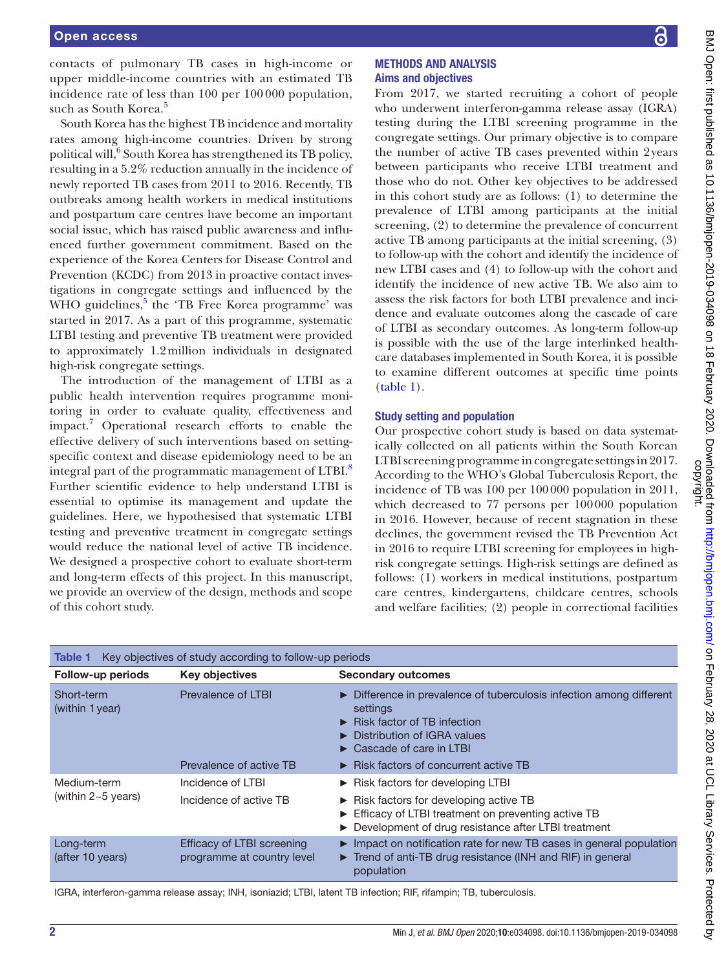contacts of pulmonary TB cases in high-income or upper middle-income countries with an estimated TB incidence rate of less than 100 per 100 000 population, such as South Korea.<sup>[5](#page-7-4)</sup>

South Korea has the highest TB incidence and mortality rates among high-income countries. Driven by strong political will,<sup>[6](#page-7-5)</sup> South Korea has strengthened its TB policy, resulting in a 5.2% reduction annually in the incidence of newly reported TB cases from 2011 to 2016. Recently, TB outbreaks among health workers in medical institutions and postpartum care centres have become an important social issue, which has raised public awareness and influenced further government commitment. Based on the experience of the Korea Centers for Disease Control and Prevention (KCDC) from 2013 in proactive contact investigations in congregate settings and influenced by the WHO guidelines,<sup>5</sup> the 'TB Free Korea programme' was started in 2017. As a part of this programme, systematic LTBI testing and preventive TB treatment were provided to approximately 1.2million individuals in designated high-risk congregate settings.

The introduction of the management of LTBI as a public health intervention requires programme monitoring in order to evaluate quality, effectiveness and impact.<sup>[7](#page-7-6)</sup> Operational research efforts to enable the effective delivery of such interventions based on settingspecific context and disease epidemiology need to be an integral part of the programmatic management of LTBI.<sup>[8](#page-7-7)</sup> Further scientific evidence to help understand LTBI is essential to optimise its management and update the guidelines. Here, we hypothesised that systematic LTBI testing and preventive treatment in congregate settings would reduce the national level of active TB incidence. We designed a prospective cohort to evaluate short-term and long-term effects of this project. In this manuscript, we provide an overview of the design, methods and scope of this cohort study.

#### Methods and analysis Aims and objectives

From 2017, we started recruiting a cohort of people who underwent interferon-gamma release assay (IGRA) testing during the LTBI screening programme in the congregate settings. Our primary objective is to compare the number of active TB cases prevented within 2years between participants who receive LTBI treatment and those who do not. Other key objectives to be addressed in this cohort study are as follows: (1) to determine the prevalence of LTBI among participants at the initial screening, (2) to determine the prevalence of concurrent active TB among participants at the initial screening, (3) to follow-up with the cohort and identify the incidence of new LTBI cases and (4) to follow-up with the cohort and identify the incidence of new active TB. We also aim to assess the risk factors for both LTBI prevalence and incidence and evaluate outcomes along the cascade of care of LTBI as secondary outcomes. As long-term follow-up is possible with the use of the large interlinked healthcare databases implemented in South Korea, it is possible to examine different outcomes at specific time points [\(table](#page-1-0) 1).

## Study setting and population

Our prospective cohort study is based on data systematically collected on all patients within the South Korean LTBI screening programme in congregate settings in 2017. According to the WHO's Global Tuberculosis Report, the incidence of TB was 100 per 100000 population in 2011, which decreased to 77 persons per 100000 population in 2016. However, because of recent stagnation in these declines, the government revised the TB Prevention Act in 2016 to require LTBI screening for employees in highrisk congregate settings. High-risk settings are defined as follows: (1) workers in medical institutions, postpartum care centres, kindergartens, childcare centres, schools and welfare facilities; (2) people in correctional facilities

<span id="page-1-0"></span>

| Key objectives of study according to follow-up periods<br>Table 1                                               |                                                          |                                                                                                                                                                                                                              |  |  |
|-----------------------------------------------------------------------------------------------------------------|----------------------------------------------------------|------------------------------------------------------------------------------------------------------------------------------------------------------------------------------------------------------------------------------|--|--|
| Follow-up periods                                                                                               | <b>Key objectives</b>                                    | <b>Secondary outcomes</b>                                                                                                                                                                                                    |  |  |
| Short-term<br>(within 1 year)                                                                                   | Prevalence of LTBI                                       | • Difference in prevalence of tuberculosis infection among different<br>settings<br>$\triangleright$ Risk factor of TB infection<br>$\triangleright$ Distribution of IGRA values<br>$\triangleright$ Cascade of care in LTBI |  |  |
|                                                                                                                 | Prevalence of active TB                                  | $\triangleright$ Risk factors of concurrent active TB                                                                                                                                                                        |  |  |
| Medium-term<br>(within $2 \sim 5$ years)                                                                        | Incidence of LTBI                                        | $\triangleright$ Risk factors for developing LTBI                                                                                                                                                                            |  |  |
|                                                                                                                 | Incidence of active TB                                   | Risk factors for developing active TB<br>Efficacy of LTBI treatment on preventing active TB<br>► Development of drug resistance after LTBI treatment                                                                         |  |  |
| Long-term<br>(after 10 years)                                                                                   | Efficacy of LTBI screening<br>programme at country level | Impact on notification rate for new TB cases in general population<br>$\triangleright$ Trend of anti-TB drug resistance (INH and RIF) in general<br>population                                                               |  |  |
| IGRA, interferon-gamma release assay: INH, isoniazid: ITBL latent TB infection: RIF rifampin: TB, tuberculosis, |                                                          |                                                                                                                                                                                                                              |  |  |

BMJ Open: first published as 10.1136/bmjopen-2019-034098 on 18 February 2020. Downloaded from http://bmjopen.bmj.com/ on February 28, 2020 at UCL Library Services. Protected by<br>copyright. BMJ Open: first published as 10.1136/bmjopen-2019-034098 on 18 February 2020. Downloaded from <http://bmjopen.bmj.com/> on February 28, 2020 at UCL Library Services. Protected by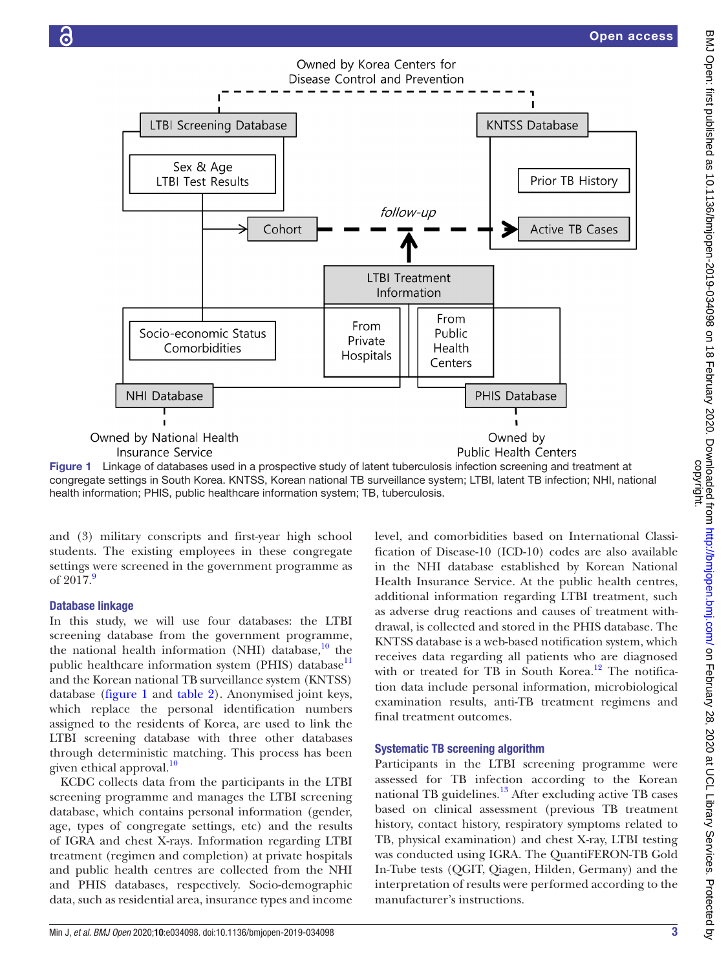

<span id="page-2-0"></span>congregate settings in South Korea. KNTSS, Korean national TB surveillance system; LTBI, latent TB infection; NHI, national health information; PHIS, public healthcare information system; TB, tuberculosis.

and (3) military conscripts and first-year high school students. The existing employees in these congregate settings were screened in the government programme as of  $2017$ .<sup>9</sup>

#### Database linkage

In this study, we will use four databases: the LTBI screening database from the government programme, the national health information (NHI) database, $^{10}$  the public healthcare information system (PHIS) database<sup>11</sup> and the Korean national TB surveillance system (KNTSS) database [\(figure](#page-2-0) 1 and [table](#page-3-0) 2). Anonymised joint keys, which replace the personal identification numbers assigned to the residents of Korea, are used to link the LTBI screening database with three other databases through deterministic matching. This process has been given ethical approval.<sup>[10](#page-7-9)</sup>

KCDC collects data from the participants in the LTBI screening programme and manages the LTBI screening database, which contains personal information (gender, age, types of congregate settings, etc) and the results of IGRA and chest X-rays. Information regarding LTBI treatment (regimen and completion) at private hospitals and public health centres are collected from the NHI and PHIS databases, respectively. Socio-demographic data, such as residential area, insurance types and income

level, and comorbidities based on International Classification of Disease-10 (ICD-10) codes are also available in the NHI database established by Korean National Health Insurance Service. At the public health centres, additional information regarding LTBI treatment, such as adverse drug reactions and causes of treatment withdrawal, is collected and stored in the PHIS database. The KNTSS database is a web-based notification system, which receives data regarding all patients who are diagnosed with or treated for TB in South Korea.<sup>12</sup> The notification data include personal information, microbiological examination results, anti-TB treatment regimens and final treatment outcomes.

#### Systematic TB screening algorithm

Participants in the LTBI screening programme were assessed for TB infection according to the Korean national TB guidelines. $^{13}$  After excluding active TB cases based on clinical assessment (previous TB treatment history, contact history, respiratory symptoms related to TB, physical examination) and chest X-ray, LTBI testing was conducted using IGRA. The QuantiFERON-TB Gold In-Tube tests (QGIT, Qiagen, Hilden, Germany) and the interpretation of results were performed according to the manufacturer's instructions.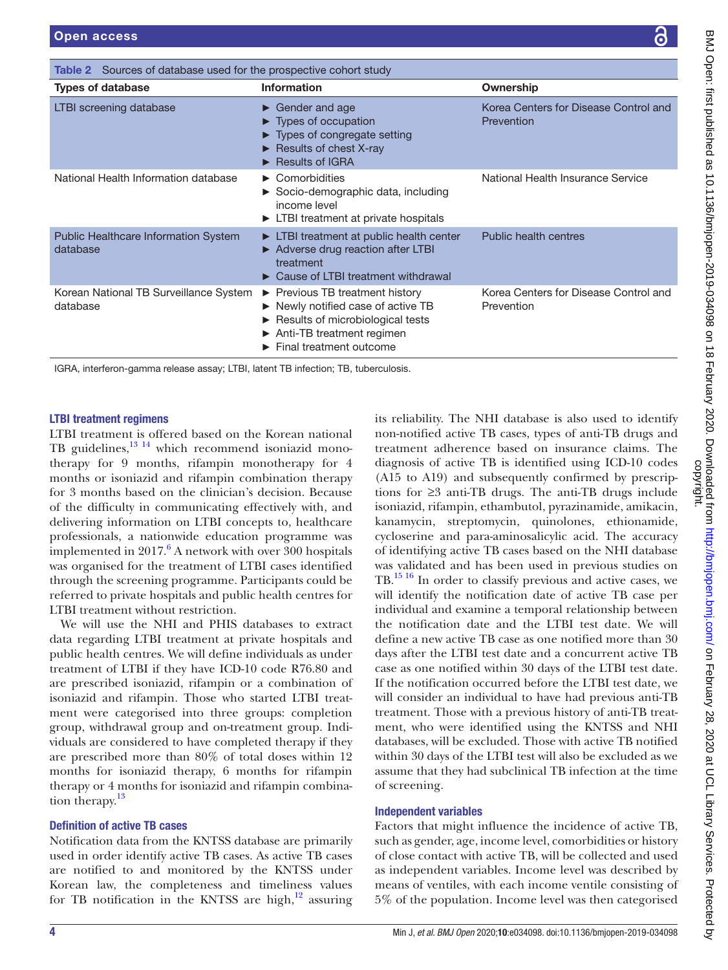<span id="page-3-0"></span>

| <b>Table 2</b> Sources of database used for the prospective cohort study           |                                                                                                                                                                                                             |                                                     |  |  |
|------------------------------------------------------------------------------------|-------------------------------------------------------------------------------------------------------------------------------------------------------------------------------------------------------------|-----------------------------------------------------|--|--|
| <b>Types of database</b>                                                           | <b>Information</b>                                                                                                                                                                                          | Ownership                                           |  |  |
| LTBI screening database                                                            | $\blacktriangleright$ Gender and age<br>$\blacktriangleright$ Types of occupation<br>$\blacktriangleright$ Types of congregate setting<br>$\triangleright$ Results of chest X-ray<br><b>Results of IGRA</b> | Korea Centers for Disease Control and<br>Prevention |  |  |
| National Health Information database                                               | $\blacktriangleright$ Comorbidities<br>$\triangleright$ Socio-demographic data, including<br>income level<br>► LTBI treatment at private hospitals                                                          | National Health Insurance Service                   |  |  |
| <b>Public Healthcare Information System</b><br>database                            | ► LTBI treatment at public health center<br>Adverse drug reaction after LTBI<br>treatment<br>$\triangleright$ Cause of LTBI treatment withdrawal                                                            | <b>Public health centres</b>                        |  |  |
| Korean National TB Surveillance System<br>database                                 | ▶ Previous TB treatment history<br>► Newly notified case of active TB<br>$\triangleright$ Results of microbiological tests<br>$\triangleright$ Anti-TB treatment regimen<br>Final treatment outcome         | Korea Centers for Disease Control and<br>Prevention |  |  |
| IGRA, interferon-gamma release assay; LTBI, latent TB infection; TB, tuberculosis. |                                                                                                                                                                                                             |                                                     |  |  |

## LTBI treatment regimens

LTBI treatment is offered based on the Korean national TB guidelines, $^{13}$  <sup>14</sup> which recommend isoniazid monotherapy for 9 months, rifampin monotherapy for 4 months or isoniazid and rifampin combination therapy for 3 months based on the clinician's decision. Because of the difficulty in communicating effectively with, and delivering information on LTBI concepts to, healthcare professionals, a nationwide education programme was implemented in  $2017<sup>6</sup>$  A network with over 300 hospitals was organised for the treatment of LTBI cases identified through the screening programme. Participants could be referred to private hospitals and public health centres for LTBI treatment without restriction.

We will use the NHI and PHIS databases to extract data regarding LTBI treatment at private hospitals and public health centres. We will define individuals as under treatment of LTBI if they have ICD-10 code R76.80 and are prescribed isoniazid, rifampin or a combination of isoniazid and rifampin. Those who started LTBI treatment were categorised into three groups: completion group, withdrawal group and on-treatment group. Individuals are considered to have completed therapy if they are prescribed more than 80% of total doses within 12 months for isoniazid therapy, 6 months for rifampin therapy or 4 months for isoniazid and rifampin combina-tion therapy.<sup>[13](#page-7-12)</sup>

#### Definition of active TB cases

Notification data from the KNTSS database are primarily used in order identify active TB cases. As active TB cases are notified to and monitored by the KNTSS under Korean law, the completeness and timeliness values for TB notification in the KNTSS are high, $12$  assuring its reliability. The NHI database is also used to identify non-notified active TB cases, types of anti-TB drugs and treatment adherence based on insurance claims. The diagnosis of active TB is identified using ICD-10 codes (A15 to A19) and subsequently confirmed by prescriptions for ≥3 anti-TB drugs. The anti-TB drugs include isoniazid, rifampin, ethambutol, pyrazinamide, amikacin, kanamycin, streptomycin, quinolones, ethionamide, cycloserine and para-aminosalicylic acid. The accuracy of identifying active TB cases based on the NHI database was validated and has been used in previous studies on TB.[15 16](#page-7-13) In order to classify previous and active cases, we will identify the notification date of active TB case per individual and examine a temporal relationship between the notification date and the LTBI test date. We will define a new active TB case as one notified more than 30 days after the LTBI test date and a concurrent active TB case as one notified within 30 days of the LTBI test date. If the notification occurred before the LTBI test date, we will consider an individual to have had previous anti-TB treatment. Those with a previous history of anti-TB treatment, who were identified using the KNTSS and NHI databases, will be excluded. Those with active TB notified within 30 days of the LTBI test will also be excluded as we assume that they had subclinical TB infection at the time of screening.

#### Independent variables

Factors that might influence the incidence of active TB, such as gender, age, income level, comorbidities or history of close contact with active TB, will be collected and used as independent variables. Income level was described by means of ventiles, with each income ventile consisting of 5% of the population. Income level was then categorised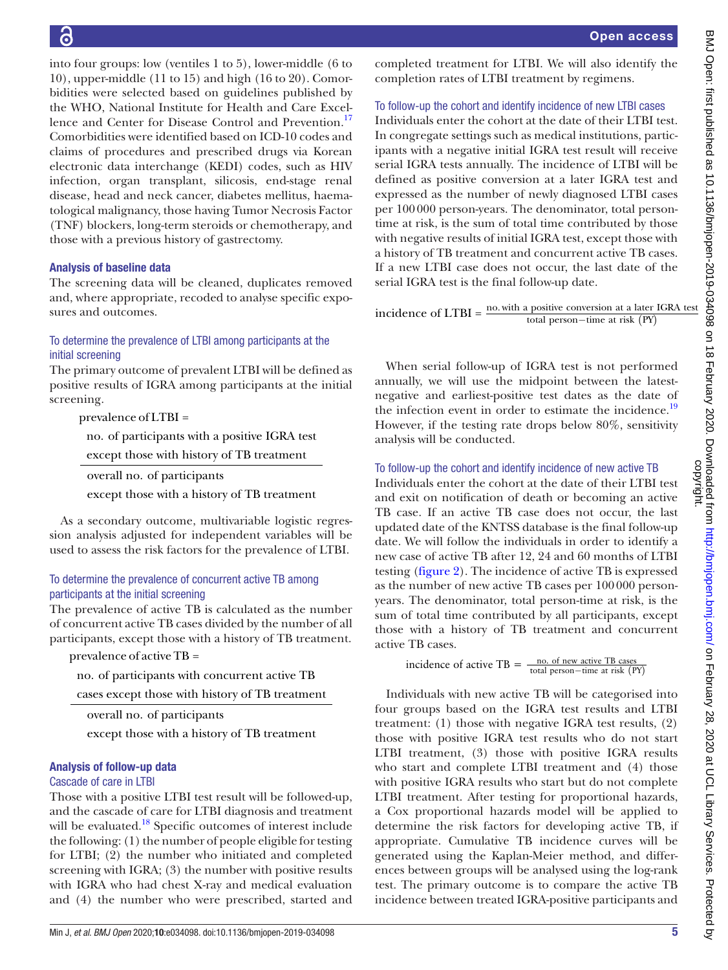BMJ Open: first published as 10.1136/bmjopen-2019-034098 on 18 February 2020. Downloaded from http://bmjopen.bmj.com/ on February 28, 2020 at UCL Library Services. Protected by<br>copyright. BMJ Open: first published as 10.1136/bmjopen-2019-034098 on 18 February 2020. Downloaded from <http://bmjopen.bmj.com/> on February 28, 2020 at UCL Library Services. Protected by

into four groups: low (ventiles 1 to 5), lower-middle (6 to 10), upper-middle (11 to 15) and high (16 to 20). Comorbidities were selected based on guidelines published by the WHO, National Institute for Health and Care Excellence and Center for Disease Control and Prevention.<sup>17</sup> Comorbidities were identified based on ICD-10 codes and claims of procedures and prescribed drugs via Korean electronic data interchange (KEDI) codes, such as HIV infection, organ transplant, silicosis, end-stage renal disease, head and neck cancer, diabetes mellitus, haematological malignancy, those having Tumor Necrosis Factor (TNF) blockers, long-term steroids or chemotherapy, and those with a previous history of gastrectomy.

## Analysis of baseline data

The screening data will be cleaned, duplicates removed and, where appropriate, recoded to analyse specific exposures and outcomes.

# To determine the prevalence of LTBI among participants at the initial screening

The primary outcome of prevalent LTBI will be defined as positive results of IGRA among participants at the initial screening.

prevalence of LTBI = no. of participants with a positive IGRA test

except those with history of TB treatment

overall no. of participants

except those with a history of TB treatment

As a secondary outcome, multivariable logistic regression analysis adjusted for independent variables will be used to assess the risk factors for the prevalence of LTBI.

# To determine the prevalence of concurrent active TB among participants at the initial screening

The prevalence of active TB is calculated as the number of concurrent active TB cases divided by the number of all participants, except those with a history of TB treatment.

prevalence of active TB =

no. of participants with concurrent active TB

cases except those with history of TB treatment

overall no. of participants

except those with a history of TB treatment

# Analysis of follow-up data

## Cascade of care in LTBI

Those with a positive LTBI test result will be followed-up, and the cascade of care for LTBI diagnosis and treatment will be evaluated.<sup>18</sup> Specific outcomes of interest include the following: (1) the number of people eligible for testing for LTBI; (2) the number who initiated and completed screening with IGRA; (3) the number with positive results with IGRA who had chest X-ray and medical evaluation and (4) the number who were prescribed, started and

completed treatment for LTBI. We will also identify the completion rates of LTBI treatment by regimens.

To follow-up the cohort and identify incidence of new LTBI cases

Individuals enter the cohort at the date of their LTBI test. In congregate settings such as medical institutions, participants with a negative initial IGRA test result will receive serial IGRA tests annually. The incidence of LTBI will be defined as positive conversion at a later IGRA test and expressed as the number of newly diagnosed LTBI cases per 100000 person-years. The denominator, total persontime at risk, is the sum of total time contributed by those with negative results of initial IGRA test, except those with a history of TB treatment and concurrent active TB cases. If a new LTBI case does not occur, the last date of the serial IGRA test is the final follow-up date.

incidence of  $LTBI = \frac{\text{no. with a positive conversion at a later I} GRA \text{ test}}{BCRA}$ total person*−*time at risk ( PY)

When serial follow-up of IGRA test is not performed annually, we will use the midpoint between the latestnegative and earliest-positive test dates as the date of the infection event in order to estimate the incidence.<sup>[19](#page-7-16)</sup> However, if the testing rate drops below 80%, sensitivity analysis will be conducted.

To follow-up the cohort and identify incidence of new active TB

Individuals enter the cohort at the date of their LTBI test and exit on notification of death or becoming an active TB case. If an active TB case does not occur, the last updated date of the KNTSS database is the final follow-up date. We will follow the individuals in order to identify a new case of active TB after 12, 24 and 60 months of LTBI testing ([figure](#page-5-0) 2). The incidence of active TB is expressed as the number of new active TB cases per 100000 personyears. The denominator, total person-time at risk, is the sum of total time contributed by all participants, except those with a history of TB treatment and concurrent active TB cases.

incidence of active  $TB = \frac{no. \text{ of new active } TB \text{ cases}}{\text{total person}-\text{time at risk (PY)}}$ 

Individuals with new active TB will be categorised into four groups based on the IGRA test results and LTBI treatment: (1) those with negative IGRA test results, (2) those with positive IGRA test results who do not start LTBI treatment, (3) those with positive IGRA results who start and complete LTBI treatment and (4) those with positive IGRA results who start but do not complete LTBI treatment. After testing for proportional hazards, a Cox proportional hazards model will be applied to determine the risk factors for developing active TB, if appropriate. Cumulative TB incidence curves will be generated using the Kaplan-Meier method, and differences between groups will be analysed using the log-rank test. The primary outcome is to compare the active TB incidence between treated IGRA-positive participants and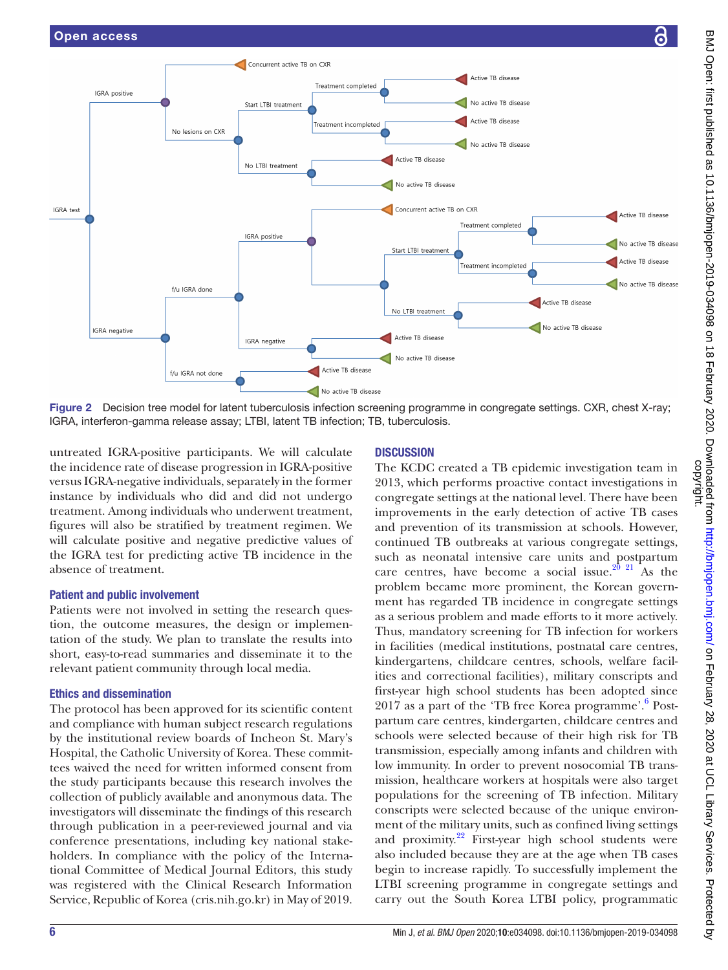

<span id="page-5-0"></span>Figure 2 Decision tree model for latent tuberculosis infection screening programme in congregate settings. CXR, chest X-ray; IGRA, interferon-gamma release assay; LTBI, latent TB infection; TB, tuberculosis.

untreated IGRA-positive participants. We will calculate the incidence rate of disease progression in IGRA-positive versus IGRA-negative individuals, separately in the former instance by individuals who did and did not undergo treatment. Among individuals who underwent treatment, figures will also be stratified by treatment regimen. We will calculate positive and negative predictive values of the IGRA test for predicting active TB incidence in the absence of treatment.

#### Patient and public involvement

Patients were not involved in setting the research question, the outcome measures, the design or implementation of the study. We plan to translate the results into short, easy-to-read summaries and disseminate it to the relevant patient community through local media.

## Ethics and dissemination

The protocol has been approved for its scientific content and compliance with human subject research regulations by the institutional review boards of Incheon St. Mary's Hospital, the Catholic University of Korea. These committees waived the need for written informed consent from the study participants because this research involves the collection of publicly available and anonymous data. The investigators will disseminate the findings of this research through publication in a peer-reviewed journal and via conference presentations, including key national stakeholders. In compliance with the policy of the International Committee of Medical Journal Editors, this study was registered with the Clinical Research Information Service, Republic of Korea (cris.nih.go.kr) in May of 2019.

# **DISCUSSION**

The KCDC created a TB epidemic investigation team in 2013, which performs proactive contact investigations in congregate settings at the national level. There have been improvements in the early detection of active TB cases and prevention of its transmission at schools. However, continued TB outbreaks at various congregate settings, such as neonatal intensive care units and postpartum care centres, have become a social issue.<sup>20 21</sup> As the problem became more prominent, the Korean government has regarded TB incidence in congregate settings as a serious problem and made efforts to it more actively. Thus, mandatory screening for TB infection for workers in facilities (medical institutions, postnatal care centres, kindergartens, childcare centres, schools, welfare facilities and correctional facilities), military conscripts and first-year high school students has been adopted since 2017 as a part of the 'TB free Korea programme'.<sup>[6](#page-7-5)</sup> Postpartum care centres, kindergarten, childcare centres and schools were selected because of their high risk for TB transmission, especially among infants and children with low immunity. In order to prevent nosocomial TB transmission, healthcare workers at hospitals were also target populations for the screening of TB infection. Military conscripts were selected because of the unique environment of the military units, such as confined living settings and proximity. $22$  First-year high school students were also included because they are at the age when TB cases begin to increase rapidly. To successfully implement the LTBI screening programme in congregate settings and carry out the South Korea LTBI policy, programmatic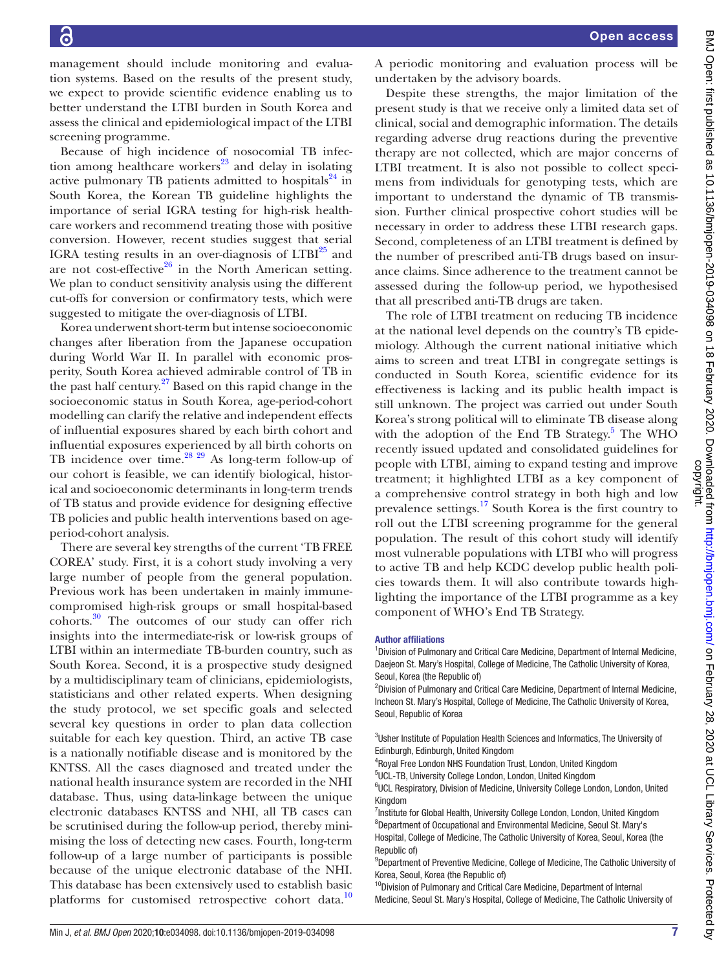management should include monitoring and evaluation systems. Based on the results of the present study, we expect to provide scientific evidence enabling us to better understand the LTBI burden in South Korea and assess the clinical and epidemiological impact of the LTBI screening programme.

Because of high incidence of nosocomial TB infection among healthcare workers $^{23}$  and delay in isolating active pulmonary TB patients admitted to hospitals $^{24}$  in South Korea, the Korean TB guideline highlights the importance of serial IGRA testing for high-risk healthcare workers and recommend treating those with positive conversion. However, recent studies suggest that serial IGRA testing results in an over-diagnosis of  $LTBI<sup>25</sup>$  and are not cost-effective $26$  in the North American setting. We plan to conduct sensitivity analysis using the different cut-offs for conversion or confirmatory tests, which were suggested to mitigate the over-diagnosis of LTBI.

Korea underwent short-term but intense socioeconomic changes after liberation from the Japanese occupation during World War II. In parallel with economic prosperity, South Korea achieved admirable control of TB in the past half century.<sup>27</sup> Based on this rapid change in the socioeconomic status in South Korea, age-period-cohort modelling can clarify the relative and independent effects of influential exposures shared by each birth cohort and influential exposures experienced by all birth cohorts on TB incidence over time.<sup>28 29</sup> As long-term follow-up of our cohort is feasible, we can identify biological, historical and socioeconomic determinants in long-term trends of TB status and provide evidence for designing effective TB policies and public health interventions based on ageperiod-cohort analysis.

There are several key strengths of the current 'TB FREE COREA' study. First, it is a cohort study involving a very large number of people from the general population. Previous work has been undertaken in mainly immunecompromised high-risk groups or small hospital-based cohorts.[30](#page-7-25) The outcomes of our study can offer rich insights into the intermediate-risk or low-risk groups of LTBI within an intermediate TB-burden country, such as South Korea. Second, it is a prospective study designed by a multidisciplinary team of clinicians, epidemiologists, statisticians and other related experts. When designing the study protocol, we set specific goals and selected several key questions in order to plan data collection suitable for each key question. Third, an active TB case is a nationally notifiable disease and is monitored by the KNTSS. All the cases diagnosed and treated under the national health insurance system are recorded in the NHI database. Thus, using data-linkage between the unique electronic databases KNTSS and NHI, all TB cases can be scrutinised during the follow-up period, thereby minimising the loss of detecting new cases. Fourth, long-term follow-up of a large number of participants is possible because of the unique electronic database of the NHI. This database has been extensively used to establish basic platforms for customised retrospective cohort data.<sup>10</sup> A periodic monitoring and evaluation process will be undertaken by the advisory boards.

Despite these strengths, the major limitation of the present study is that we receive only a limited data set of clinical, social and demographic information. The details regarding adverse drug reactions during the preventive therapy are not collected, which are major concerns of LTBI treatment. It is also not possible to collect specimens from individuals for genotyping tests, which are important to understand the dynamic of TB transmission. Further clinical prospective cohort studies will be necessary in order to address these LTBI research gaps. Second, completeness of an LTBI treatment is defined by the number of prescribed anti-TB drugs based on insurance claims. Since adherence to the treatment cannot be assessed during the follow-up period, we hypothesised that all prescribed anti-TB drugs are taken.

The role of LTBI treatment on reducing TB incidence at the national level depends on the country's TB epidemiology. Although the current national initiative which aims to screen and treat LTBI in congregate settings is conducted in South Korea, scientific evidence for its effectiveness is lacking and its public health impact is still unknown. The project was carried out under South Korea's strong political will to eliminate TB disease along with the adoption of the End TB Strategy.<sup>[5](#page-7-4)</sup> The WHO recently issued updated and consolidated guidelines for people with LTBI, aiming to expand testing and improve treatment; it highlighted LTBI as a key component of a comprehensive control strategy in both high and low prevalence settings.[17](#page-7-14) South Korea is the first country to roll out the LTBI screening programme for the general population. The result of this cohort study will identify most vulnerable populations with LTBI who will progress to active TB and help KCDC develop public health policies towards them. It will also contribute towards highlighting the importance of the LTBI programme as a key component of WHO's End TB Strategy.

#### Author affiliations

<sup>1</sup> Division of Pulmonary and Critical Care Medicine, Department of Internal Medicine, Daejeon St. Mary's Hospital, College of Medicine, The Catholic University of Korea, Seoul, Korea (the Republic of)

<sup>2</sup> Division of Pulmonary and Critical Care Medicine, Department of Internal Medicine, Incheon St. Mary's Hospital, College of Medicine, The Catholic University of Korea, Seoul, Republic of Korea

<sup>3</sup>Usher Institute of Population Health Sciences and Informatics, The University of Edinburgh, Edinburgh, United Kingdom

4 Royal Free London NHS Foundation Trust, London, United Kingdom 5 UCL-TB, University College London, London, United Kingdom

<sup>6</sup>UCL Respiratory, Division of Medicine, University College London, London, United Kingdom

<sup>7</sup>Institute for Global Health, University College London, London, United Kingdom 8 Department of Occupational and Environmental Medicine, Seoul St. Mary's Hospital, College of Medicine, The Catholic University of Korea, Seoul, Korea (the Republic of)

<sup>9</sup>Department of Preventive Medicine, College of Medicine, The Catholic University of Korea, Seoul, Korea (the Republic of)

<sup>10</sup>Division of Pulmonary and Critical Care Medicine, Department of Internal Medicine, Seoul St. Mary's Hospital, College of Medicine, The Catholic University of